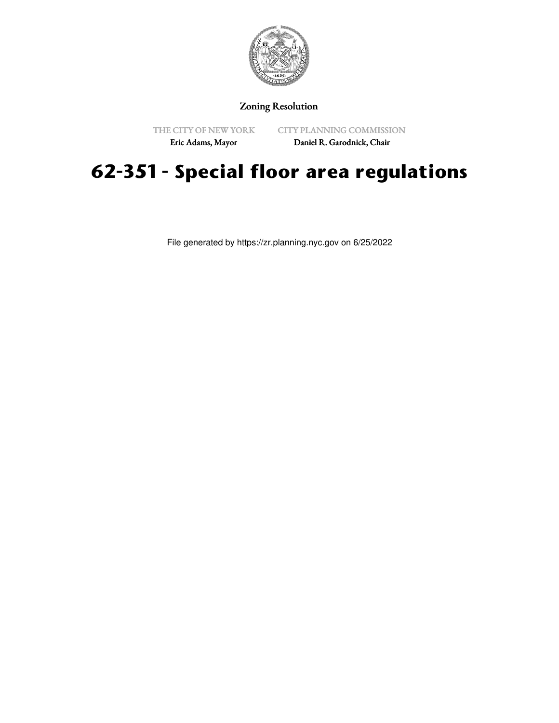

Zoning Resolution

THE CITY OF NEW YORK

CITY PLANNING COMMISSION

Eric Adams, Mayor

Daniel R. Garodnick, Chair

## **62-351 - Special floor area regulations**

File generated by https://zr.planning.nyc.gov on 6/25/2022